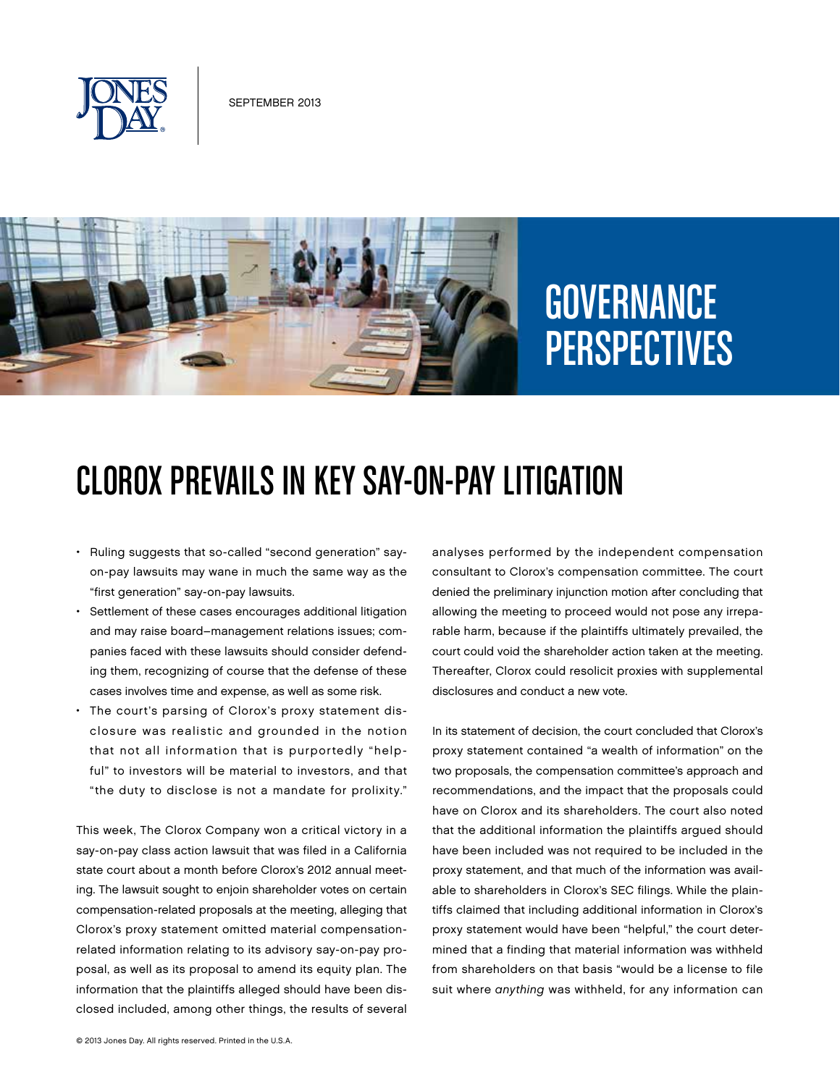



# **GOVERNANCE** PERSPECTIVES

# Clorox Prevails in Key Say-on-Pay Litigation

- • Ruling suggests that so-called "second generation" sayon-pay lawsuits may wane in much the same way as the "first generation" say-on-pay lawsuits.
- • Settlement of these cases encourages additional litigation and may raise board–management relations issues; companies faced with these lawsuits should consider defending them, recognizing of course that the defense of these cases involves time and expense, as well as some risk.
- The court's parsing of Clorox's proxy statement disclosure was realistic and grounded in the notion that not all information that is purportedly "helpful" to investors will be material to investors, and that "the duty to disclose is not a mandate for prolixity."

This week, The Clorox Company won a critical victory in a say-on-pay class action lawsuit that was filed in a California state court about a month before Clorox's 2012 annual meeting. The lawsuit sought to enjoin shareholder votes on certain compensation-related proposals at the meeting, alleging that Clorox's proxy statement omitted material compensationrelated information relating to its advisory say-on-pay proposal, as well as its proposal to amend its equity plan. The information that the plaintiffs alleged should have been disclosed included, among other things, the results of several

analyses performed by the independent compensation consultant to Clorox's compensation committee. The court denied the preliminary injunction motion after concluding that allowing the meeting to proceed would not pose any irreparable harm, because if the plaintiffs ultimately prevailed, the court could void the shareholder action taken at the meeting. Thereafter, Clorox could resolicit proxies with supplemental disclosures and conduct a new vote.

In its statement of decision, the court concluded that Clorox's proxy statement contained "a wealth of information" on the two proposals, the compensation committee's approach and recommendations, and the impact that the proposals could have on Clorox and its shareholders. The court also noted that the additional information the plaintiffs argued should have been included was not required to be included in the proxy statement, and that much of the information was available to shareholders in Clorox's SEC filings. While the plaintiffs claimed that including additional information in Clorox's proxy statement would have been "helpful," the court determined that a finding that material information was withheld from shareholders on that basis "would be a license to file suit where *anything* was withheld, for any information can